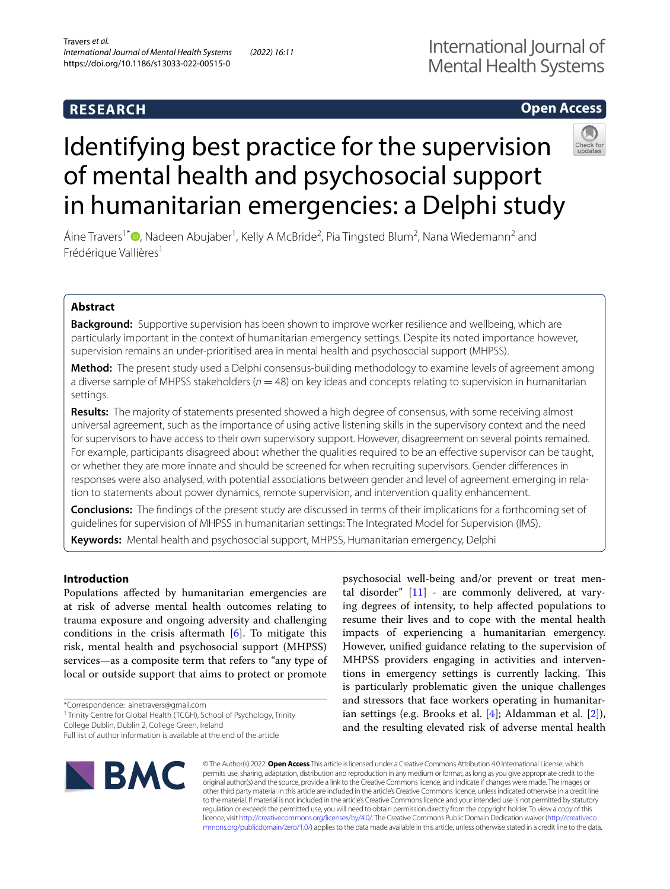## **RESEARCH**

# International Journal of Mental Health Systems

# **Open Access**



# Identifying best practice for the supervision of mental health and psychosocial support in humanitarian emergencies: a Delphi study

Áine Travers<sup>1\*</sup> <sup>O</sup>[,](http://orcid.org/0000-0002-5666-6384) Nadeen Abujaber<sup>1</sup>, Kelly A McBride<sup>2</sup>, Pia Tingsted Blum<sup>2</sup>, Nana Wiedemann<sup>2</sup> and Frédérique Vallières<sup>1</sup>

#### **Abstract**

**Background:** Supportive supervision has been shown to improve worker resilience and wellbeing, which are particularly important in the context of humanitarian emergency settings. Despite its noted importance however, supervision remains an under-prioritised area in mental health and psychosocial support (MHPSS).

**Method:** The present study used a Delphi consensus-building methodology to examine levels of agreement among a diverse sample of MHPSS stakeholders ( $n = 48$ ) on key ideas and concepts relating to supervision in humanitarian settings.

**Results:** The majority of statements presented showed a high degree of consensus, with some receiving almost universal agreement, such as the importance of using active listening skills in the supervisory context and the need for supervisors to have access to their own supervisory support. However, disagreement on several points remained. For example, participants disagreed about whether the qualities required to be an efective supervisor can be taught, or whether they are more innate and should be screened for when recruiting supervisors. Gender diferences in responses were also analysed, with potential associations between gender and level of agreement emerging in relation to statements about power dynamics, remote supervision, and intervention quality enhancement.

**Conclusions:** The fndings of the present study are discussed in terms of their implications for a forthcoming set of guidelines for supervision of MHPSS in humanitarian settings: The Integrated Model for Supervision (IMS).

**Keywords:** Mental health and psychosocial support, MHPSS, Humanitarian emergency, Delphi

#### **Introduction**

Populations afected by humanitarian emergencies are at risk of adverse mental health outcomes relating to trauma exposure and ongoing adversity and challenging conditions in the crisis aftermath  $[6]$  $[6]$ . To mitigate this risk, mental health and psychosocial support (MHPSS) services—as a composite term that refers to "any type of local or outside support that aims to protect or promote

\*Correspondence: ainetravers@gmail.com

<sup>1</sup> Trinity Centre for Global Health (TCGH), School of Psychology, Trinity

College Dublin, Dublin 2, College Green, Ireland

MHPSS providers engaging in activities and interventions in emergency settings is currently lacking. This is particularly problematic given the unique challenges and stressors that face workers operating in humanitarian settings (e.g. Brooks et al. [\[4](#page-8-2)]; Aldamman et al. [\[2\]](#page-8-3)), and the resulting elevated risk of adverse mental health



© The Author(s) 2022. **Open Access** This article is licensed under a Creative Commons Attribution 4.0 International License, which permits use, sharing, adaptation, distribution and reproduction in any medium or format, as long as you give appropriate credit to the original author(s) and the source, provide a link to the Creative Commons licence, and indicate if changes were made. The images or other third party material in this article are included in the article's Creative Commons licence, unless indicated otherwise in a credit line to the material. If material is not included in the article's Creative Commons licence and your intended use is not permitted by statutory regulation or exceeds the permitted use, you will need to obtain permission directly from the copyright holder. To view a copy of this licence, visit [http://creativecommons.org/licenses/by/4.0/.](http://creativecommons.org/licenses/by/4.0/) The Creative Commons Public Domain Dedication waiver ([http://creativeco](http://creativecommons.org/publicdomain/zero/1.0/) [mmons.org/publicdomain/zero/1.0/](http://creativecommons.org/publicdomain/zero/1.0/)) applies to the data made available in this article, unless otherwise stated in a credit line to the data.

psychosocial well-being and/or prevent or treat mental disorder"  $[11]$  $[11]$  - are commonly delivered, at varying degrees of intensity, to help afected populations to resume their lives and to cope with the mental health impacts of experiencing a humanitarian emergency. However, unifed guidance relating to the supervision of

Full list of author information is available at the end of the article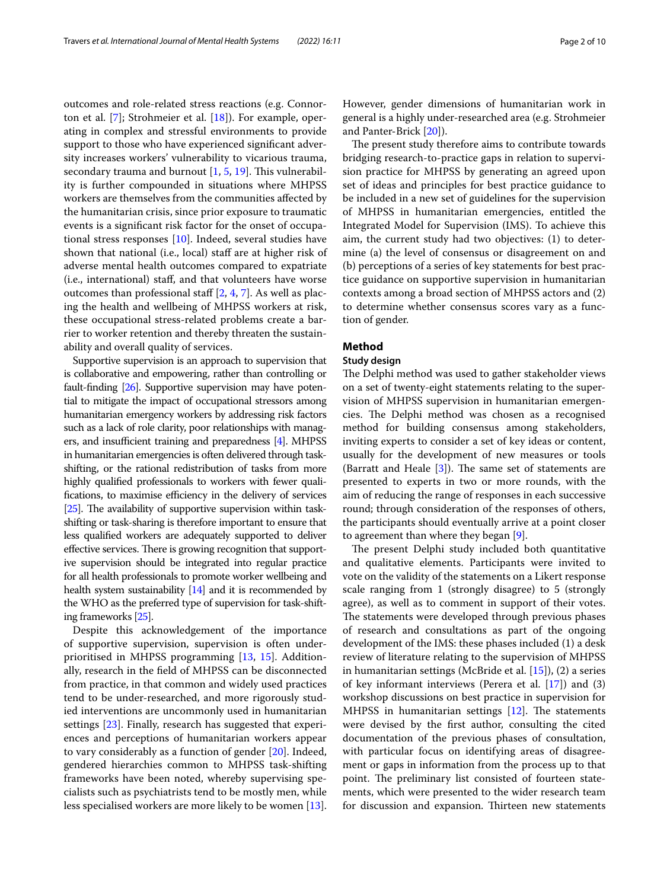outcomes and role-related stress reactions (e.g. Connorton et al. [[7](#page-8-4)]; Strohmeier et al. [\[18\]](#page-9-0)). For example, operating in complex and stressful environments to provide support to those who have experienced signifcant adversity increases workers' vulnerability to vicarious trauma, secondary trauma and burnout  $[1, 5, 19]$  $[1, 5, 19]$  $[1, 5, 19]$  $[1, 5, 19]$  $[1, 5, 19]$ . This vulnerability is further compounded in situations where MHPSS workers are themselves from the communities afected by the humanitarian crisis, since prior exposure to traumatic events is a signifcant risk factor for the onset of occupational stress responses [\[10\]](#page-8-7). Indeed, several studies have shown that national (i.e., local) staff are at higher risk of adverse mental health outcomes compared to expatriate (i.e., international) staf, and that volunteers have worse outcomes than professional staff  $[2, 4, 7]$  $[2, 4, 7]$  $[2, 4, 7]$  $[2, 4, 7]$  $[2, 4, 7]$  $[2, 4, 7]$  $[2, 4, 7]$ . As well as placing the health and wellbeing of MHPSS workers at risk, these occupational stress-related problems create a barrier to worker retention and thereby threaten the sustainability and overall quality of services.

Supportive supervision is an approach to supervision that is collaborative and empowering, rather than controlling or fault-fnding [\[26](#page-9-2)]. Supportive supervision may have potential to mitigate the impact of occupational stressors among humanitarian emergency workers by addressing risk factors such as a lack of role clarity, poor relationships with managers, and insufficient training and preparedness  $[4]$ . MHPSS in humanitarian emergencies is often delivered through taskshifting, or the rational redistribution of tasks from more highly qualifed professionals to workers with fewer qualifications, to maximise efficiency in the delivery of services  $[25]$  $[25]$ . The availability of supportive supervision within taskshifting or task-sharing is therefore important to ensure that less qualifed workers are adequately supported to deliver effective services. There is growing recognition that supportive supervision should be integrated into regular practice for all health professionals to promote worker wellbeing and health system sustainability [\[14\]](#page-8-8) and it is recommended by the WHO as the preferred type of supervision for task-shifting frameworks [\[25](#page-9-3)].

Despite this acknowledgement of the importance of supportive supervision, supervision is often underprioritised in MHPSS programming [\[13](#page-8-9), [15](#page-8-10)]. Additionally, research in the feld of MHPSS can be disconnected from practice, in that common and widely used practices tend to be under-researched, and more rigorously studied interventions are uncommonly used in humanitarian settings [\[23](#page-9-4)]. Finally, research has suggested that experiences and perceptions of humanitarian workers appear to vary considerably as a function of gender [\[20\]](#page-9-5). Indeed, gendered hierarchies common to MHPSS task-shifting frameworks have been noted, whereby supervising specialists such as psychiatrists tend to be mostly men, while less specialised workers are more likely to be women [\[13](#page-8-9)].

However, gender dimensions of humanitarian work in general is a highly under-researched area (e.g. Strohmeier and Panter‐Brick [\[20](#page-9-5)]).

The present study therefore aims to contribute towards bridging research-to-practice gaps in relation to supervision practice for MHPSS by generating an agreed upon set of ideas and principles for best practice guidance to be included in a new set of guidelines for the supervision of MHPSS in humanitarian emergencies, entitled the Integrated Model for Supervision (IMS). To achieve this aim, the current study had two objectives: (1) to determine (a) the level of consensus or disagreement on and (b) perceptions of a series of key statements for best practice guidance on supportive supervision in humanitarian contexts among a broad section of MHPSS actors and (2) to determine whether consensus scores vary as a function of gender.

#### **Method**

#### **Study design**

The Delphi method was used to gather stakeholder views on a set of twenty-eight statements relating to the supervision of MHPSS supervision in humanitarian emergencies. The Delphi method was chosen as a recognised method for building consensus among stakeholders, inviting experts to consider a set of key ideas or content, usually for the development of new measures or tools (Barratt and Heale  $[3]$  $[3]$ ). The same set of statements are presented to experts in two or more rounds, with the aim of reducing the range of responses in each successive round; through consideration of the responses of others, the participants should eventually arrive at a point closer to agreement than where they began [\[9\]](#page-8-12).

The present Delphi study included both quantitative and qualitative elements. Participants were invited to vote on the validity of the statements on a Likert response scale ranging from 1 (strongly disagree) to 5 (strongly agree), as well as to comment in support of their votes. The statements were developed through previous phases of research and consultations as part of the ongoing development of the IMS: these phases included (1) a desk review of literature relating to the supervision of MHPSS in humanitarian settings (McBride et al. [[15\]](#page-8-10)), (2) a series of key informant interviews (Perera et al. [[17\]](#page-9-6)) and (3) workshop discussions on best practice in supervision for MHPSS in humanitarian settings  $[12]$  $[12]$ . The statements were devised by the frst author, consulting the cited documentation of the previous phases of consultation, with particular focus on identifying areas of disagreement or gaps in information from the process up to that point. The preliminary list consisted of fourteen statements, which were presented to the wider research team for discussion and expansion. Thirteen new statements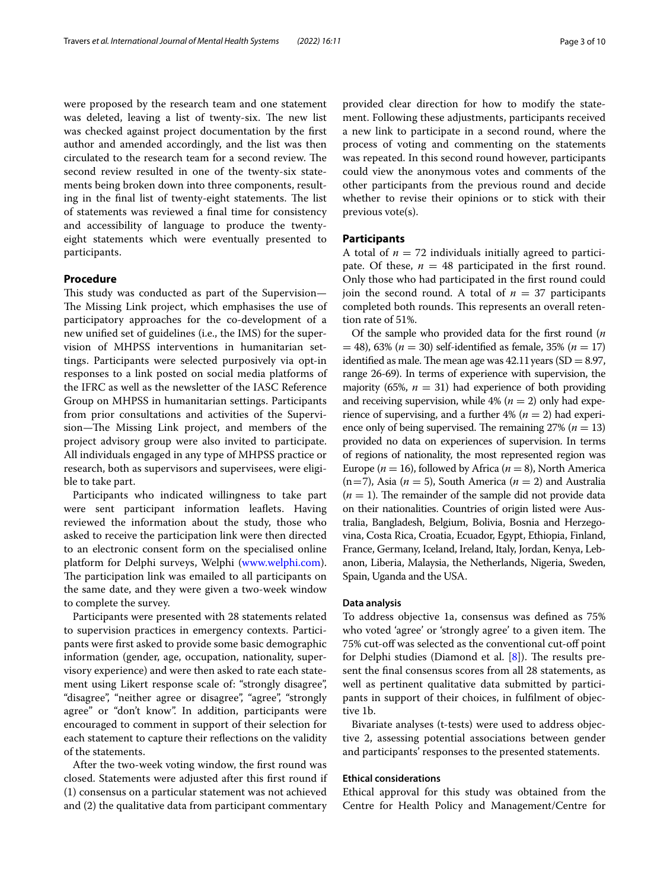were proposed by the research team and one statement was deleted, leaving a list of twenty-six. The new list was checked against project documentation by the frst author and amended accordingly, and the list was then circulated to the research team for a second review. The second review resulted in one of the twenty-six statements being broken down into three components, resulting in the final list of twenty-eight statements. The list of statements was reviewed a fnal time for consistency and accessibility of language to produce the twentyeight statements which were eventually presented to participants.

#### **Procedure**

This study was conducted as part of the Supervision-The Missing Link project, which emphasises the use of participatory approaches for the co-development of a new unifed set of guidelines (i.e., the IMS) for the supervision of MHPSS interventions in humanitarian settings. Participants were selected purposively via opt-in responses to a link posted on social media platforms of the IFRC as well as the newsletter of the IASC Reference Group on MHPSS in humanitarian settings. Participants from prior consultations and activities of the Supervision-The Missing Link project, and members of the project advisory group were also invited to participate. All individuals engaged in any type of MHPSS practice or research, both as supervisors and supervisees, were eligible to take part.

Participants who indicated willingness to take part were sent participant information leafets. Having reviewed the information about the study, those who asked to receive the participation link were then directed to an electronic consent form on the specialised online platform for Delphi surveys, Welphi [\(www.welphi.com](http://www.welphi.com)). The participation link was emailed to all participants on the same date, and they were given a two-week window to complete the survey.

Participants were presented with 28 statements related to supervision practices in emergency contexts. Participants were frst asked to provide some basic demographic information (gender, age, occupation, nationality, supervisory experience) and were then asked to rate each statement using Likert response scale of: "strongly disagree", "disagree", "neither agree or disagree", "agree", "strongly agree" or "don't know". In addition, participants were encouraged to comment in support of their selection for each statement to capture their refections on the validity of the statements.

After the two-week voting window, the frst round was closed. Statements were adjusted after this frst round if (1) consensus on a particular statement was not achieved and (2) the qualitative data from participant commentary provided clear direction for how to modify the statement. Following these adjustments, participants received a new link to participate in a second round, where the process of voting and commenting on the statements was repeated. In this second round however, participants could view the anonymous votes and comments of the other participants from the previous round and decide whether to revise their opinions or to stick with their previous vote(s).

#### **Participants**

A total of  $n = 72$  individuals initially agreed to participate. Of these,  $n = 48$  participated in the first round. Only those who had participated in the frst round could join the second round. A total of  $n = 37$  participants completed both rounds. This represents an overall retention rate of 51%.

Of the sample who provided data for the frst round (*n* = 48), 63% (*n* = 30) self-identifed as female, 35% (*n* = 17) identified as male. The mean age was  $42.11$  years (SD = 8.97, range 26-69). In terms of experience with supervision, the majority (65%,  $n = 31$ ) had experience of both providing and receiving supervision, while  $4\%$  ( $n = 2$ ) only had experience of supervising, and a further  $4\%$  ( $n = 2$ ) had experience only of being supervised. The remaining  $27\%$  ( $n = 13$ ) provided no data on experiences of supervision. In terms of regions of nationality, the most represented region was Europe ( $n = 16$ ), followed by Africa ( $n = 8$ ), North America  $(n=7)$ , Asia ( $n=5$ ), South America ( $n=2$ ) and Australia  $(n = 1)$ . The remainder of the sample did not provide data on their nationalities. Countries of origin listed were Australia, Bangladesh, Belgium, Bolivia, Bosnia and Herzegovina, Costa Rica, Croatia, Ecuador, Egypt, Ethiopia, Finland, France, Germany, Iceland, Ireland, Italy, Jordan, Kenya, Lebanon, Liberia, Malaysia, the Netherlands, Nigeria, Sweden, Spain, Uganda and the USA.

#### **Data analysis**

To address objective 1a, consensus was defned as 75% who voted 'agree' or 'strongly agree' to a given item. The 75% cut-of was selected as the conventional cut-of point for Delphi studies (Diamond et al.  $[8]$  $[8]$ ). The results present the fnal consensus scores from all 28 statements, as well as pertinent qualitative data submitted by participants in support of their choices, in fulflment of objective 1b.

Bivariate analyses (t-tests) were used to address objective 2, assessing potential associations between gender and participants' responses to the presented statements.

#### **Ethical considerations**

Ethical approval for this study was obtained from the Centre for Health Policy and Management/Centre for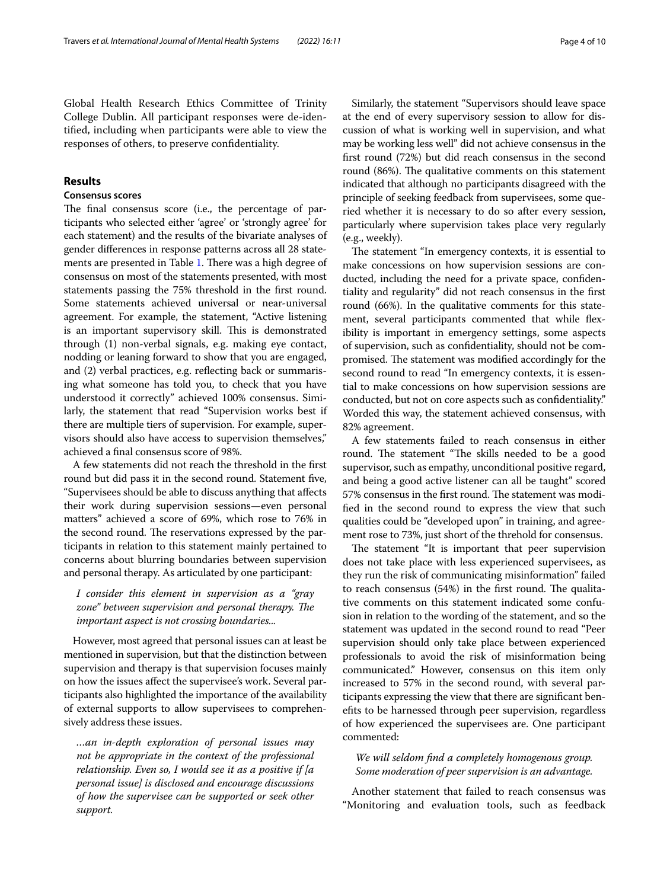Global Health Research Ethics Committee of Trinity College Dublin. All participant responses were de-identifed, including when participants were able to view the responses of others, to preserve confdentiality.

#### **Results**

#### **Consensus scores**

The final consensus score (i.e., the percentage of participants who selected either 'agree' or 'strongly agree' for each statement) and the results of the bivariate analyses of gender diferences in response patterns across all 28 state-ments are presented in Table [1](#page-4-0). There was a high degree of consensus on most of the statements presented, with most statements passing the 75% threshold in the frst round. Some statements achieved universal or near-universal agreement. For example, the statement, "Active listening is an important supervisory skill. This is demonstrated through (1) non-verbal signals, e.g. making eye contact, nodding or leaning forward to show that you are engaged, and (2) verbal practices, e.g. refecting back or summarising what someone has told you, to check that you have understood it correctly" achieved 100% consensus. Similarly, the statement that read "Supervision works best if there are multiple tiers of supervision. For example, supervisors should also have access to supervision themselves," achieved a fnal consensus score of 98%.

A few statements did not reach the threshold in the frst round but did pass it in the second round. Statement fve, "Supervisees should be able to discuss anything that afects their work during supervision sessions—even personal matters" achieved a score of 69%, which rose to 76% in the second round. The reservations expressed by the participants in relation to this statement mainly pertained to concerns about blurring boundaries between supervision and personal therapy. As articulated by one participant:

#### *I consider this element in supervision as a "gray zone" between supervision and personal therapy. The important aspect is not crossing boundaries...*

However, most agreed that personal issues can at least be mentioned in supervision, but that the distinction between supervision and therapy is that supervision focuses mainly on how the issues afect the supervisee's work. Several participants also highlighted the importance of the availability of external supports to allow supervisees to comprehensively address these issues.

*…an in-depth exploration of personal issues may not be appropriate in the context of the professional relationship. Even so, I would see it as a positive if [a personal issue] is disclosed and encourage discussions of how the supervisee can be supported or seek other support.*

Similarly, the statement "Supervisors should leave space at the end of every supervisory session to allow for discussion of what is working well in supervision, and what may be working less well" did not achieve consensus in the frst round (72%) but did reach consensus in the second round (86%). The qualitative comments on this statement indicated that although no participants disagreed with the principle of seeking feedback from supervisees, some queried whether it is necessary to do so after every session, particularly where supervision takes place very regularly (e.g., weekly).

The statement "In emergency contexts, it is essential to make concessions on how supervision sessions are conducted, including the need for a private space, confdentiality and regularity" did not reach consensus in the frst round (66%). In the qualitative comments for this statement, several participants commented that while fexibility is important in emergency settings, some aspects of supervision, such as confdentiality, should not be compromised. The statement was modified accordingly for the second round to read "In emergency contexts, it is essential to make concessions on how supervision sessions are conducted, but not on core aspects such as confdentiality." Worded this way, the statement achieved consensus, with 82% agreement.

A few statements failed to reach consensus in either round. The statement "The skills needed to be a good supervisor, such as empathy, unconditional positive regard, and being a good active listener can all be taught" scored 57% consensus in the first round. The statement was modifed in the second round to express the view that such qualities could be "developed upon" in training, and agreement rose to 73%, just short of the threhold for consensus.

The statement "It is important that peer supervision does not take place with less experienced supervisees, as they run the risk of communicating misinformation" failed to reach consensus  $(54%)$  in the first round. The qualitative comments on this statement indicated some confusion in relation to the wording of the statement, and so the statement was updated in the second round to read "Peer supervision should only take place between experienced professionals to avoid the risk of misinformation being communicated." However, consensus on this item only increased to 57% in the second round, with several participants expressing the view that there are signifcant benefts to be harnessed through peer supervision, regardless of how experienced the supervisees are. One participant commented:

#### *We will seldom fnd a completely homogenous group. Some moderation of peer supervision is an advantage.*

Another statement that failed to reach consensus was "Monitoring and evaluation tools, such as feedback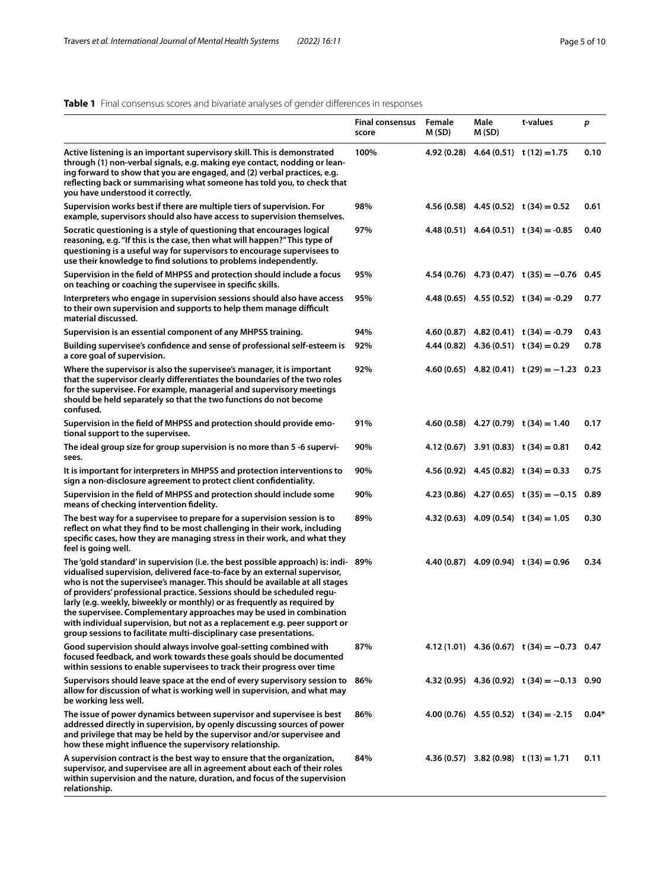### <span id="page-4-0"></span>**Table 1** Final consensus scores and bivariate analyses of gender diferences in responses

|                                                                                                                                                                                                                                                                                                                                                                                                                                                                                                                                                                                                                                   | <b>Final consensus</b><br>score | Female<br>M (SD) | Male<br>M (SD) | t-values                                       | p       |
|-----------------------------------------------------------------------------------------------------------------------------------------------------------------------------------------------------------------------------------------------------------------------------------------------------------------------------------------------------------------------------------------------------------------------------------------------------------------------------------------------------------------------------------------------------------------------------------------------------------------------------------|---------------------------------|------------------|----------------|------------------------------------------------|---------|
| Active listening is an important supervisory skill. This is demonstrated<br>through (1) non-verbal signals, e.g. making eye contact, nodding or lean-<br>ing forward to show that you are engaged, and (2) verbal practices, e.g.<br>reflecting back or summarising what someone has told you, to check that<br>you have understood it correctly.                                                                                                                                                                                                                                                                                 | 100%                            |                  |                | $4.92(0.28)$ $4.64(0.51)$ $t(12)=1.75$         | 0.10    |
| Supervision works best if there are multiple tiers of supervision. For<br>example, supervisors should also have access to supervision themselves.                                                                                                                                                                                                                                                                                                                                                                                                                                                                                 | 98%                             |                  |                | $4.56(0.58)$ $4.45(0.52)$ $t(34) = 0.52$       | 0.61    |
| Socratic questioning is a style of questioning that encourages logical<br>reasoning, e.g. "If this is the case, then what will happen?" This type of<br>questioning is a useful way for supervisors to encourage supervisees to<br>use their knowledge to find solutions to problems independently.                                                                                                                                                                                                                                                                                                                               | 97%                             |                  |                | $4.48(0.51)$ $4.64(0.51)$ t $(34) = -0.85$     | 0.40    |
| Supervision in the field of MHPSS and protection should include a focus<br>on teaching or coaching the supervisee in specific skills.                                                                                                                                                                                                                                                                                                                                                                                                                                                                                             | 95%                             |                  |                | $4.54(0.76)$ $4.73(0.47)$ $t(35) = -0.76$ 0.45 |         |
| Interpreters who engage in supervision sessions should also have access<br>to their own supervision and supports to help them manage difficult<br>material discussed.                                                                                                                                                                                                                                                                                                                                                                                                                                                             | 95%                             |                  |                | $4.48(0.65)$ $4.55(0.52)$ $t(34) = -0.29$      | 0.77    |
| Supervision is an essential component of any MHPSS training.                                                                                                                                                                                                                                                                                                                                                                                                                                                                                                                                                                      | 94%                             |                  |                | $4.60(0.87)$ $4.82(0.41)$ $t(34) = -0.79$      | 0.43    |
| Building supervisee's confidence and sense of professional self-esteem is<br>a core goal of supervision.                                                                                                                                                                                                                                                                                                                                                                                                                                                                                                                          | 92%                             |                  |                | $4.44(0.82)$ $4.36(0.51)$ $t(34) = 0.29$       | 0.78    |
| Where the supervisor is also the supervisee's manager, it is important<br>that the supervisor clearly differentiates the boundaries of the two roles<br>for the supervisee. For example, managerial and supervisory meetings<br>should be held separately so that the two functions do not become<br>confused.                                                                                                                                                                                                                                                                                                                    | 92%                             |                  |                | $4.60(0.65)$ $4.82(0.41)$ $t(29) = -1.23$ 0.23 |         |
| Supervision in the field of MHPSS and protection should provide emo-<br>tional support to the supervisee.                                                                                                                                                                                                                                                                                                                                                                                                                                                                                                                         | 91%                             |                  |                | $4.60(0.58)$ $4.27(0.79)$ $t(34) = 1.40$       | 0.17    |
| The ideal group size for group supervision is no more than 5 -6 supervi-<br>sees.                                                                                                                                                                                                                                                                                                                                                                                                                                                                                                                                                 | 90%                             |                  |                | $4.12(0.67)$ 3.91 $(0.83)$ t $(34) = 0.81$     | 0.42    |
| It is important for interpreters in MHPSS and protection interventions to<br>sign a non-disclosure agreement to protect client confidentiality.                                                                                                                                                                                                                                                                                                                                                                                                                                                                                   | 90%                             |                  |                | $4.56(0.92)$ $4.45(0.82)$ $t(34) = 0.33$       | 0.75    |
| Supervision in the field of MHPSS and protection should include some<br>means of checking intervention fidelity.                                                                                                                                                                                                                                                                                                                                                                                                                                                                                                                  | 90%                             |                  |                | $4.23(0.86)$ $4.27(0.65)$ $t(35) = -0.15$      | 0.89    |
| The best way for a supervisee to prepare for a supervision session is to<br>reflect on what they find to be most challenging in their work, including<br>specific cases, how they are managing stress in their work, and what they<br>feel is going well.                                                                                                                                                                                                                                                                                                                                                                         | 89%                             |                  |                | $4.32(0.63)$ $4.09(0.54)$ $t(34) = 1.05$       | 0.30    |
| The 'gold standard' in supervision (i.e. the best possible approach) is: indi- 89%<br>vidualised supervision, delivered face-to-face by an external supervisor,<br>who is not the supervisee's manager. This should be available at all stages<br>of providers' professional practice. Sessions should be scheduled regu-<br>larly (e.g. weekly, biweekly or monthly) or as frequently as required by<br>the supervisee. Complementary approaches may be used in combination<br>with individual supervision, but not as a replacement e.g. peer support or<br>group sessions to facilitate multi-disciplinary case presentations. |                                 |                  |                | $4.40(0.87)$ $4.09(0.94)$ $t(34) = 0.96$       | 0.34    |
| Good supervision should always involve goal-setting combined with<br>focused feedback, and work towards these goals should be documented<br>within sessions to enable supervisees to track their progress over time                                                                                                                                                                                                                                                                                                                                                                                                               | 87%                             |                  |                | $4.12(1.01)$ $4.36(0.67)$ $t(34) = -0.73$ 0.47 |         |
| Supervisors should leave space at the end of every supervisory session to 86%<br>allow for discussion of what is working well in supervision, and what may<br>be working less well.                                                                                                                                                                                                                                                                                                                                                                                                                                               |                                 |                  |                | $4.32(0.95)$ $4.36(0.92)$ $t(34) = -0.13$ 0.90 |         |
| The issue of power dynamics between supervisor and supervisee is best<br>addressed directly in supervision, by openly discussing sources of power<br>and privilege that may be held by the supervisor and/or supervisee and<br>how these might influence the supervisory relationship.                                                                                                                                                                                                                                                                                                                                            | 86%                             |                  |                | $4.00(0.76)$ $4.55(0.52)$ $t(34) = -2.15$      | $0.04*$ |
| A supervision contract is the best way to ensure that the organization,<br>supervisor, and supervisee are all in agreement about each of their roles<br>within supervision and the nature, duration, and focus of the supervision<br>relationship.                                                                                                                                                                                                                                                                                                                                                                                | 84%                             |                  |                | $4.36(0.57)$ 3.82 (0.98) t (13) = 1.71         | 0.11    |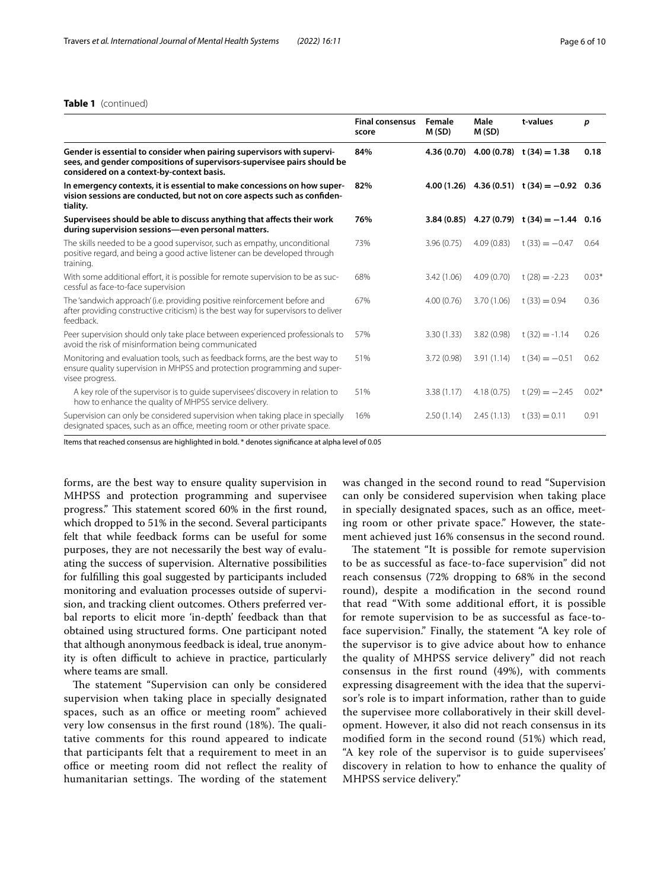#### **Table 1** (continued)

|                                                                                                                                                                                                | <b>Final consensus</b><br>score | Female<br>M(SD) | Male<br>M(SD) | t-values                                      | p       |
|------------------------------------------------------------------------------------------------------------------------------------------------------------------------------------------------|---------------------------------|-----------------|---------------|-----------------------------------------------|---------|
| Gender is essential to consider when pairing supervisors with supervi-<br>sees, and gender compositions of supervisors-supervisee pairs should be<br>considered on a context-by-context basis. | 84%                             |                 |               | $4.36(0.70)$ $4.00(0.78)$ $t(34) = 1.38$      | 0.18    |
| In emergency contexts, it is essential to make concessions on how super-<br>vision sessions are conducted, but not on core aspects such as confiden-<br>tiality.                               | 82%                             |                 |               | 4.00 (1.26) 4.36 (0.51) t (34) = $-0.92$ 0.36 |         |
| Supervisees should be able to discuss anything that affects their work<br>during supervision sessions—even personal matters.                                                                   | 76%                             |                 |               | $3.84(0.85)$ 4.27 (0.79) t (34) = -1.44 0.16  |         |
| The skills needed to be a good supervisor, such as empathy, unconditional<br>positive regard, and being a good active listener can be developed through<br>training.                           | 73%                             | 3.96(0.75)      | 4.09(0.83)    | $t(33) = -0.47$                               | 0.64    |
| With some additional effort, it is possible for remote supervision to be as suc-<br>cessful as face-to-face supervision                                                                        | 68%                             | 3.42(1.06)      | 4.09(0.70)    | $t(28) = -2.23$                               | $0.03*$ |
| The 'sandwich approach' (i.e. providing positive reinforcement before and<br>after providing constructive criticism) is the best way for supervisors to deliver<br>feedback.                   | 67%                             | 4.00(0.76)      | 3.70(1.06)    | $t(33) = 0.94$                                | 0.36    |
| Peer supervision should only take place between experienced professionals to<br>avoid the risk of misinformation being communicated                                                            | 57%                             | 3.30(1.33)      | 3.82(0.98)    | $t(32) = -1.14$                               | 0.26    |
| Monitoring and evaluation tools, such as feedback forms, are the best way to<br>ensure quality supervision in MHPSS and protection programming and super-<br>visee progress.                   | 51%                             | 3.72(0.98)      | 3.91(1.14)    | $t(34) = -0.51$                               | 0.62    |
| A key role of the supervisor is to quide supervisees' discovery in relation to<br>how to enhance the quality of MHPSS service delivery.                                                        | 51%                             | 3.38(1.17)      | 4.18(0.75)    | $t(29) = -2.45$                               | $0.02*$ |
| Supervision can only be considered supervision when taking place in specially<br>designated spaces, such as an office, meeting room or other private space.                                    | 16%                             | 2.50(1.14)      | 2.45(1.13)    | $t(33) = 0.11$                                | 0.91    |

Items that reached consensus are highlighted in bold. \* denotes signifcance at alpha level of 0.05

forms, are the best way to ensure quality supervision in MHPSS and protection programming and supervisee progress." This statement scored 60% in the first round, which dropped to 51% in the second. Several participants felt that while feedback forms can be useful for some purposes, they are not necessarily the best way of evaluating the success of supervision. Alternative possibilities for fulflling this goal suggested by participants included monitoring and evaluation processes outside of supervision, and tracking client outcomes. Others preferred verbal reports to elicit more 'in-depth' feedback than that obtained using structured forms. One participant noted that although anonymous feedback is ideal, true anonymity is often difficult to achieve in practice, particularly where teams are small.

The statement "Supervision can only be considered supervision when taking place in specially designated spaces, such as an office or meeting room" achieved very low consensus in the first round  $(18%)$ . The qualitative comments for this round appeared to indicate that participants felt that a requirement to meet in an office or meeting room did not reflect the reality of humanitarian settings. The wording of the statement was changed in the second round to read "Supervision can only be considered supervision when taking place in specially designated spaces, such as an office, meeting room or other private space." However, the statement achieved just 16% consensus in the second round.

The statement "It is possible for remote supervision to be as successful as face-to-face supervision" did not reach consensus (72% dropping to 68% in the second round), despite a modifcation in the second round that read "With some additional effort, it is possible for remote supervision to be as successful as face-toface supervision." Finally, the statement "A key role of the supervisor is to give advice about how to enhance the quality of MHPSS service delivery" did not reach consensus in the frst round (49%), with comments expressing disagreement with the idea that the supervisor's role is to impart information, rather than to guide the supervisee more collaboratively in their skill development. However, it also did not reach consensus in its modifed form in the second round (51%) which read, "A key role of the supervisor is to guide supervisees' discovery in relation to how to enhance the quality of MHPSS service delivery."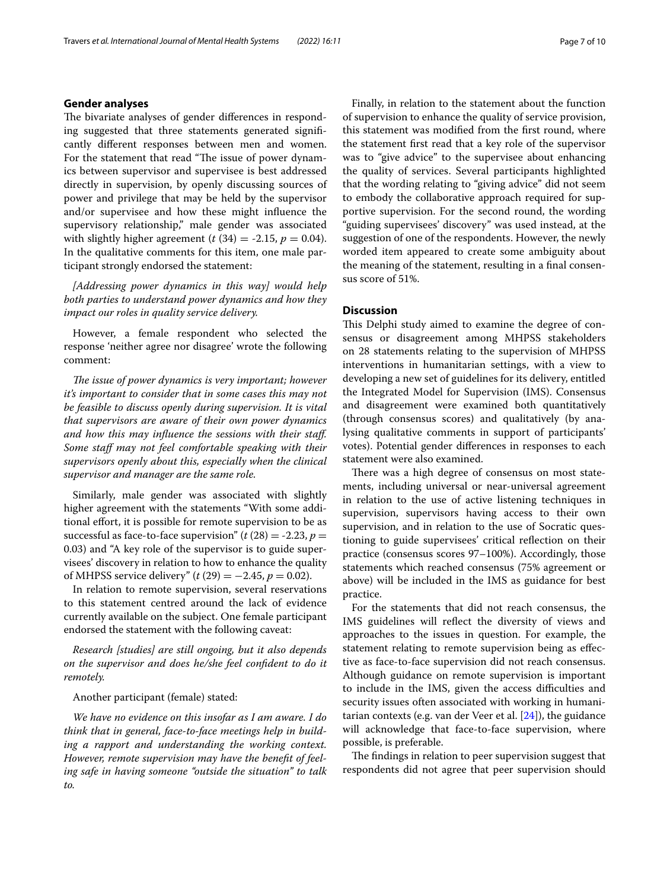#### **Gender analyses**

The bivariate analyses of gender differences in responding suggested that three statements generated signifcantly diferent responses between men and women. For the statement that read "The issue of power dynamics between supervisor and supervisee is best addressed directly in supervision, by openly discussing sources of power and privilege that may be held by the supervisor and/or supervisee and how these might infuence the supervisory relationship," male gender was associated with slightly higher agreement ( $t$  (34) = -2.15,  $p$  = 0.04). In the qualitative comments for this item, one male participant strongly endorsed the statement:

*[Addressing power dynamics in this way] would help both parties to understand power dynamics and how they impact our roles in quality service delivery.*

However, a female respondent who selected the response 'neither agree nor disagree' wrote the following comment:

*The issue of power dynamics is very important; however it's important to consider that in some cases this may not be feasible to discuss openly during supervision. It is vital that supervisors are aware of their own power dynamics and how this may infuence the sessions with their staf. Some staf may not feel comfortable speaking with their supervisors openly about this, especially when the clinical supervisor and manager are the same role.*

Similarly, male gender was associated with slightly higher agreement with the statements "With some additional effort, it is possible for remote supervision to be as successful as face-to-face supervision"  $(t(28) = -2.23, p =$ 0.03) and "A key role of the supervisor is to guide supervisees' discovery in relation to how to enhance the quality of MHPSS service delivery" ( $t(29) = -2.45$ ,  $p = 0.02$ ).

In relation to remote supervision, several reservations to this statement centred around the lack of evidence currently available on the subject. One female participant endorsed the statement with the following caveat:

*Research [studies] are still ongoing, but it also depends on the supervisor and does he/she feel confdent to do it remotely.*

#### Another participant (female) stated:

*We have no evidence on this insofar as I am aware. I do think that in general, face-to-face meetings help in building a rapport and understanding the working context. However, remote supervision may have the beneft of feeling safe in having someone "outside the situation" to talk to.*

Finally, in relation to the statement about the function of supervision to enhance the quality of service provision, this statement was modifed from the frst round, where the statement frst read that a key role of the supervisor was to "give advice" to the supervisee about enhancing the quality of services. Several participants highlighted that the wording relating to "giving advice" did not seem to embody the collaborative approach required for supportive supervision. For the second round, the wording "guiding supervisees' discovery" was used instead, at the suggestion of one of the respondents. However, the newly worded item appeared to create some ambiguity about the meaning of the statement, resulting in a final consensus score of 51%.

#### **Discussion**

This Delphi study aimed to examine the degree of consensus or disagreement among MHPSS stakeholders on 28 statements relating to the supervision of MHPSS interventions in humanitarian settings, with a view to developing a new set of guidelines for its delivery, entitled the Integrated Model for Supervision (IMS). Consensus and disagreement were examined both quantitatively (through consensus scores) and qualitatively (by analysing qualitative comments in support of participants' votes). Potential gender diferences in responses to each statement were also examined.

There was a high degree of consensus on most statements, including universal or near-universal agreement in relation to the use of active listening techniques in supervision, supervisors having access to their own supervision, and in relation to the use of Socratic questioning to guide supervisees' critical refection on their practice (consensus scores 97–100%). Accordingly, those statements which reached consensus (75% agreement or above) will be included in the IMS as guidance for best practice.

For the statements that did not reach consensus, the IMS guidelines will refect the diversity of views and approaches to the issues in question. For example, the statement relating to remote supervision being as efective as face-to-face supervision did not reach consensus. Although guidance on remote supervision is important to include in the IMS, given the access difficulties and security issues often associated with working in humanitarian contexts (e.g. van der Veer et al.  $[24]$  $[24]$  $[24]$ ), the guidance will acknowledge that face-to-face supervision, where possible, is preferable.

The findings in relation to peer supervision suggest that respondents did not agree that peer supervision should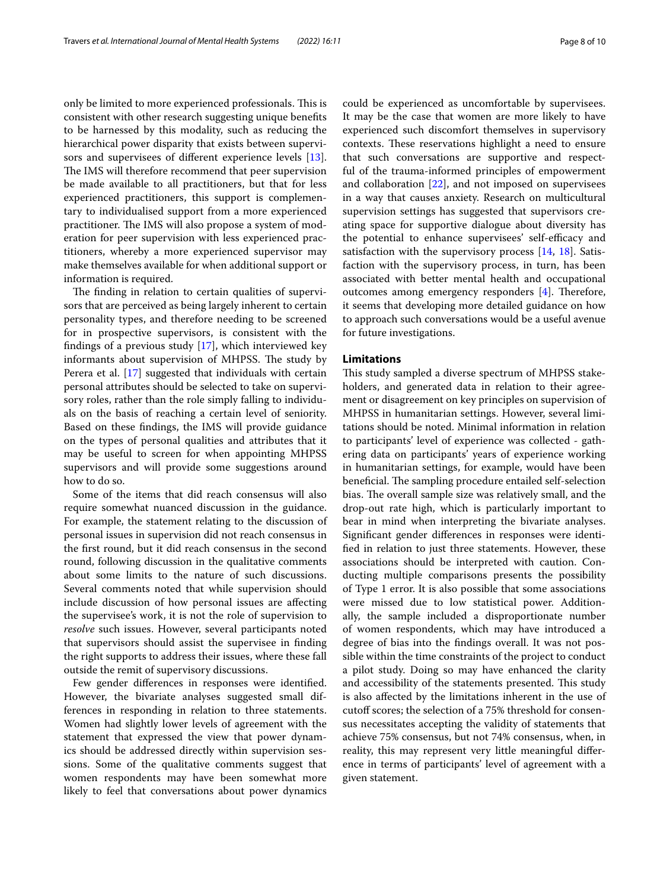only be limited to more experienced professionals. This is consistent with other research suggesting unique benefts to be harnessed by this modality, such as reducing the hierarchical power disparity that exists between supervisors and supervisees of diferent experience levels [\[13](#page-8-9)]. The IMS will therefore recommend that peer supervision be made available to all practitioners, but that for less experienced practitioners, this support is complementary to individualised support from a more experienced practitioner. The IMS will also propose a system of moderation for peer supervision with less experienced practitioners, whereby a more experienced supervisor may make themselves available for when additional support or information is required.

The finding in relation to certain qualities of supervisors that are perceived as being largely inherent to certain personality types, and therefore needing to be screened for in prospective supervisors, is consistent with the fndings of a previous study [[17](#page-9-6)], which interviewed key informants about supervision of MHPSS. The study by Perera et al. [\[17\]](#page-9-6) suggested that individuals with certain personal attributes should be selected to take on supervisory roles, rather than the role simply falling to individuals on the basis of reaching a certain level of seniority. Based on these fndings, the IMS will provide guidance on the types of personal qualities and attributes that it may be useful to screen for when appointing MHPSS supervisors and will provide some suggestions around how to do so.

Some of the items that did reach consensus will also require somewhat nuanced discussion in the guidance. For example, the statement relating to the discussion of personal issues in supervision did not reach consensus in the frst round, but it did reach consensus in the second round, following discussion in the qualitative comments about some limits to the nature of such discussions. Several comments noted that while supervision should include discussion of how personal issues are afecting the supervisee's work, it is not the role of supervision to *resolve* such issues. However, several participants noted that supervisors should assist the supervisee in fnding the right supports to address their issues, where these fall outside the remit of supervisory discussions.

Few gender diferences in responses were identifed. However, the bivariate analyses suggested small differences in responding in relation to three statements. Women had slightly lower levels of agreement with the statement that expressed the view that power dynamics should be addressed directly within supervision sessions. Some of the qualitative comments suggest that women respondents may have been somewhat more likely to feel that conversations about power dynamics could be experienced as uncomfortable by supervisees. It may be the case that women are more likely to have experienced such discomfort themselves in supervisory contexts. These reservations highlight a need to ensure that such conversations are supportive and respectful of the trauma-informed principles of empowerment and collaboration [\[22\]](#page-9-8), and not imposed on supervisees in a way that causes anxiety. Research on multicultural supervision settings has suggested that supervisors creating space for supportive dialogue about diversity has the potential to enhance supervisees' self-efficacy and satisfaction with the supervisory process [\[14](#page-8-8), [18\]](#page-9-0). Satisfaction with the supervisory process, in turn, has been associated with better mental health and occupational outcomes among emergency responders  $[4]$  $[4]$ . Therefore, it seems that developing more detailed guidance on how to approach such conversations would be a useful avenue for future investigations.

#### **Limitations**

This study sampled a diverse spectrum of MHPSS stakeholders, and generated data in relation to their agreement or disagreement on key principles on supervision of MHPSS in humanitarian settings. However, several limitations should be noted. Minimal information in relation to participants' level of experience was collected - gathering data on participants' years of experience working in humanitarian settings, for example, would have been beneficial. The sampling procedure entailed self-selection bias. The overall sample size was relatively small, and the drop-out rate high, which is particularly important to bear in mind when interpreting the bivariate analyses. Signifcant gender diferences in responses were identifed in relation to just three statements. However, these associations should be interpreted with caution. Conducting multiple comparisons presents the possibility of Type 1 error. It is also possible that some associations were missed due to low statistical power. Additionally, the sample included a disproportionate number of women respondents, which may have introduced a degree of bias into the fndings overall. It was not possible within the time constraints of the project to conduct a pilot study. Doing so may have enhanced the clarity and accessibility of the statements presented. This study is also afected by the limitations inherent in the use of cutoff scores; the selection of a 75% threshold for consensus necessitates accepting the validity of statements that achieve 75% consensus, but not 74% consensus, when, in reality, this may represent very little meaningful diference in terms of participants' level of agreement with a given statement.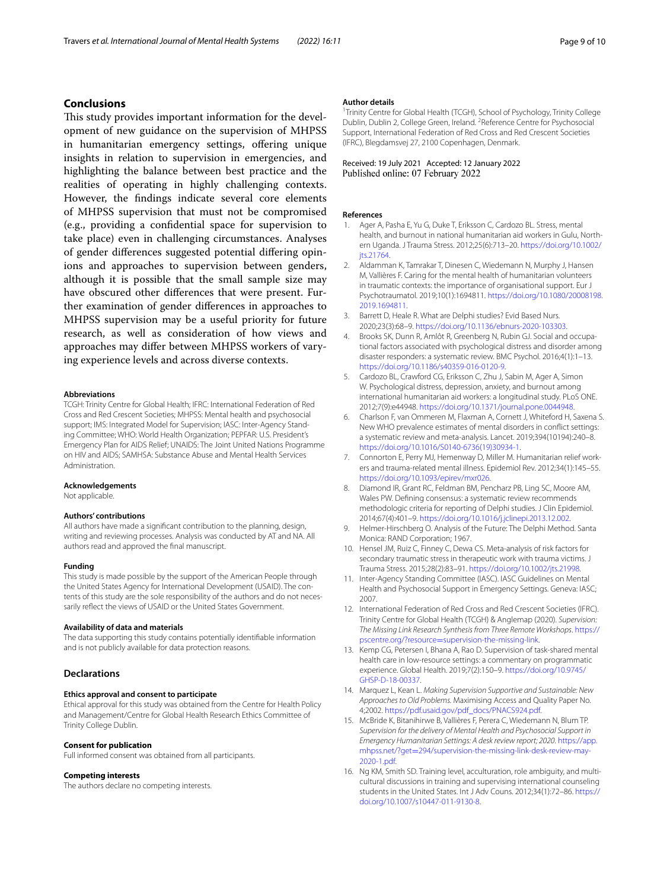#### **Conclusions**

This study provides important information for the development of new guidance on the supervision of MHPSS in humanitarian emergency settings, offering unique insights in relation to supervision in emergencies, and highlighting the balance between best practice and the realities of operating in highly challenging contexts. However, the fndings indicate several core elements of MHPSS supervision that must not be compromised (e.g., providing a confdential space for supervision to take place) even in challenging circumstances. Analyses of gender diferences suggested potential difering opinions and approaches to supervision between genders, although it is possible that the small sample size may have obscured other diferences that were present. Further examination of gender diferences in approaches to MHPSS supervision may be a useful priority for future research, as well as consideration of how views and approaches may difer between MHPSS workers of varying experience levels and across diverse contexts.

#### **Abbreviations**

TCGH: Trinity Centre for Global Health; IFRC: International Federation of Red Cross and Red Crescent Societies; MHPSS: Mental health and psychosocial support; IMS: Integrated Model for Supervision; IASC: Inter-Agency Standing Committee; WHO: World Health Organization; PEPFAR: U.S. President's Emergency Plan for AIDS Relief; UNAIDS: The Joint United Nations Programme on HIV and AIDS; SAMHSA: Substance Abuse and Mental Health Services Administration.

#### **Acknowledgements**

Not applicable.

#### **Authors' contributions**

All authors have made a signifcant contribution to the planning, design, writing and reviewing processes. Analysis was conducted by AT and NA. All authors read and approved the fnal manuscript.

#### **Funding**

This study is made possible by the support of the American People through the United States Agency for International Development (USAID). The contents of this study are the sole responsibility of the authors and do not necessarily refect the views of USAID or the United States Government.

#### **Availability of data and materials**

The data supporting this study contains potentially identifable information and is not publicly available for data protection reasons.

#### **Declarations**

#### **Ethics approval and consent to participate**

Ethical approval for this study was obtained from the Centre for Health Policy and Management/Centre for Global Health Research Ethics Committee of Trinity College Dublin.

#### **Consent for publication**

Full informed consent was obtained from all participants.

#### **Competing interests**

The authors declare no competing interests.

#### **Author details**

<sup>1</sup> Trinity Centre for Global Health (TCGH), School of Psychology, Trinity College Dublin, Dublin 2, College Green, Ireland. <sup>2</sup> Reference Centre for Psychosocial Support, International Federation of Red Cross and Red Crescent Societies (IFRC), Blegdamsvej 27, 2100 Copenhagen, Denmark.

#### Received: 19 July 2021 Accepted: 12 January 2022 Published online: 07 February 2022

#### **References**

- <span id="page-8-5"></span>Ager A, Pasha E, Yu G, Duke T, Eriksson C, Cardozo BL. Stress, mental health, and burnout in national humanitarian aid workers in Gulu, Northern Uganda. J Trauma Stress. 2012;25(6):713–20. [https://doi.org/10.1002/](https://doi.org/10.1002/jts.21764) its.21764
- <span id="page-8-3"></span>2. Aldamman K, Tamrakar T, Dinesen C, Wiedemann N, Murphy J, Hansen M, Vallières F. Caring for the mental health of humanitarian volunteers in traumatic contexts: the importance of organisational support. Eur J Psychotraumatol. 2019;10(1):1694811. [https://doi.org/10.1080/20008198.](https://doi.org/10.1080/20008198.2019.1694811) [2019.1694811](https://doi.org/10.1080/20008198.2019.1694811).
- <span id="page-8-11"></span>3. Barrett D, Heale R. What are Delphi studies? Evid Based Nurs. 2020;23(3):68–9. <https://doi.org/10.1136/ebnurs-2020-103303>.
- <span id="page-8-2"></span>4. Brooks SK, Dunn R, Amlôt R, Greenberg N, Rubin GJ. Social and occupational factors associated with psychological distress and disorder among disaster responders: a systematic review. BMC Psychol. 2016;4(1):1–13. [https://doi.org/10.1186/s40359-016-0120-9.](https://doi.org/10.1186/s40359-016-0120-9)
- <span id="page-8-6"></span>5. Cardozo BL, Crawford CG, Eriksson C, Zhu J, Sabin M, Ager A, Simon W. Psychological distress, depression, anxiety, and burnout among international humanitarian aid workers: a longitudinal study. PLoS ONE. 2012;7(9):e44948. [https://doi.org/10.1371/journal.pone.0044948.](https://doi.org/10.1371/journal.pone.0044948)
- <span id="page-8-0"></span>6. Charlson F, van Ommeren M, Flaxman A, Cornett J, Whiteford H, Saxena S. New WHO prevalence estimates of mental disorders in confict settings: a systematic review and meta-analysis. Lancet. 2019;394(10194):240–8. [https://doi.org/10.1016/S0140-6736\(19\)30934-1](https://doi.org/10.1016/S0140-6736(19)30934-1).
- <span id="page-8-4"></span>7. Connorton E, Perry MJ, Hemenway D, Miller M. Humanitarian relief workers and trauma-related mental illness. Epidemiol Rev. 2012;34(1):145–55. <https://doi.org/10.1093/epirev/mxr026>.
- <span id="page-8-14"></span>8. Diamond IR, Grant RC, Feldman BM, Pencharz PB, Ling SC, Moore AM, Wales PW. Defning consensus: a systematic review recommends methodologic criteria for reporting of Delphi studies. J Clin Epidemiol. 2014;67(4):401–9.<https://doi.org/10.1016/j.jclinepi.2013.12.002>.
- <span id="page-8-12"></span>9. Helmer-Hirschberg O. Analysis of the Future: The Delphi Method. Santa Monica: RAND Corporation; 1967.
- <span id="page-8-7"></span>10. Hensel JM, Ruiz C, Finney C, Dewa CS. Meta-analysis of risk factors for secondary traumatic stress in therapeutic work with trauma victims. J Trauma Stress. 2015;28(2):83–91.<https://doi.org/10.1002/jts.21998>.
- <span id="page-8-1"></span>11. Inter-Agency Standing Committee (IASC). IASC Guidelines on Mental Health and Psychosocial Support in Emergency Settings. Geneva: IASC; 2007.
- <span id="page-8-13"></span>12. International Federation of Red Cross and Red Crescent Societies (IFRC). Trinity Centre for Global Health (TCGH) & Anglemap (2020). *Supervision: The Missing Link Research Synthesis from Three Remote Workshops*. [https://](https://pscentre.org/?resource=supervision-the-missing-link) pscentre.org/?resource=supervision-the-missing-link.
- <span id="page-8-9"></span>13. [Kemp CG, Petersen I, Bhana A, Rao D. Supervision of ta](https://pscentre.org/?resource=supervision-the-missing-link)sk-shared mental health care in low-resource settings: a commentary on programmatic experience. Global Health. 2019;7(2):150–9. [https://doi.org/10.9745/](https://doi.org/10.9745/GHSP-D-18-00337) [GHSP-D-18-00337.](https://doi.org/10.9745/GHSP-D-18-00337)
- <span id="page-8-8"></span>14. Marquez L, Kean L. *Making Supervision Supportive and Sustainable: New Approaches to Old Problems.* Maximising Access and Quality Paper No. 4;2002. [https://pdf.usaid.gov/pdf\\_docs/PNACS924.pdf](https://pdf.usaid.gov/pdf_docs/PNACS924.pdf).
- <span id="page-8-10"></span>15. McBride K, Bitanihirwe B, Vallières F, Perera C, Wiedemann N, Blum TP. *Supervision for the delivery of Mental Health and Psychosocial Support in Emergency Humanitarian Settings: A desk review report; 2020*. [https://app.](https://app.mhpss.net/?get=294/supervision-the-missing-link-desk-review-may-2020-1.pdf) mhpss.net/?get=[294/supervision-the-missing-link-desk-review-may-](https://app.mhpss.net/?get=294/supervision-the-missing-link-desk-review-may-2020-1.pdf)[2020-1.pdf.](https://app.mhpss.net/?get=294/supervision-the-missing-link-desk-review-may-2020-1.pdf)
- 16. Ng KM, Smith SD. Training level, acculturation, role ambiguity, and multicultural discussions in training and supervising international counseling students in the United States. Int J Adv Couns. 2012;34(1):72–86. [https://](https://doi.org/10.1007/s10447-011-9130-8) [doi.org/10.1007/s10447-011-9130-8](https://doi.org/10.1007/s10447-011-9130-8).